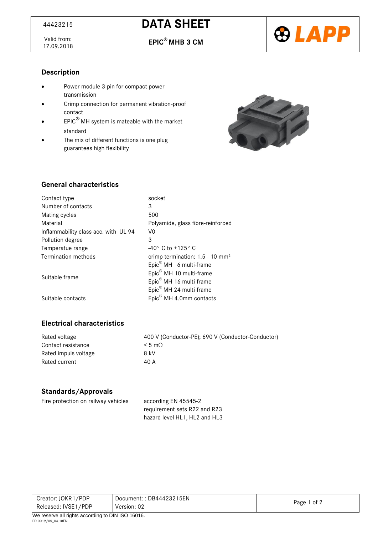Valid from:<br>17.09.2018



#### **Description**

- Power module 3-pin for compact power transmission
- Crimp connection for permanent vibration-proof contact
- EPIC**®** MH system is mateable with the market standard
- The mix of different functions is one plug guarantees high flexibility



## **General characteristics**

| Contact type                         | socket                                                                                                                                                  |
|--------------------------------------|---------------------------------------------------------------------------------------------------------------------------------------------------------|
| Number of contacts                   | 3                                                                                                                                                       |
| Mating cycles                        | 500                                                                                                                                                     |
| Material                             | Polyamide, glass fibre-reinforced                                                                                                                       |
| Inflammability class acc. with UL 94 | V <sub>0</sub>                                                                                                                                          |
| Pollution degree                     | 3                                                                                                                                                       |
| Temperatue range                     | $-40^{\circ}$ C to $+125^{\circ}$ C                                                                                                                     |
| <b>Termination methods</b>           | crimp termination: 1.5 - 10 mm <sup>2</sup>                                                                                                             |
| Suitable frame                       | Epic <sup>®</sup> MH 6 multi-frame<br>Epic <sup>®</sup> MH 10 multi-frame<br>Epic <sup>®</sup> MH 16 multi-frame<br>Epic <sup>®</sup> MH 24 multi-frame |
| Suitable contacts                    | Epic <sup>®</sup> MH 4.0mm contacts                                                                                                                     |

### **Electrical characteristics**

Contact resistance  $< 5 \text{ m}\Omega$ Rated impuls voltage 8 kV Rated current 40 A

Rated voltage 400 V (Conductor-PE); 690 V (Conductor-Conductor)

#### **Standards/Approvals**

| Fire protection on railway vehicles | according EN 45545-2          |
|-------------------------------------|-------------------------------|
|                                     | requirement sets R22 and R23  |
|                                     | hazard level HL1, HL2 and HL3 |

| Creator: JOKR1/PDP                                        | Document:: $DB44423215EN$ |             |  |
|-----------------------------------------------------------|---------------------------|-------------|--|
| Released: IVSE1/PDP                                       | Version: 02               | Page 1 of 2 |  |
| $M_{\odot}$ receive all rights considing to DIN ICO 40040 |                           |             |  |